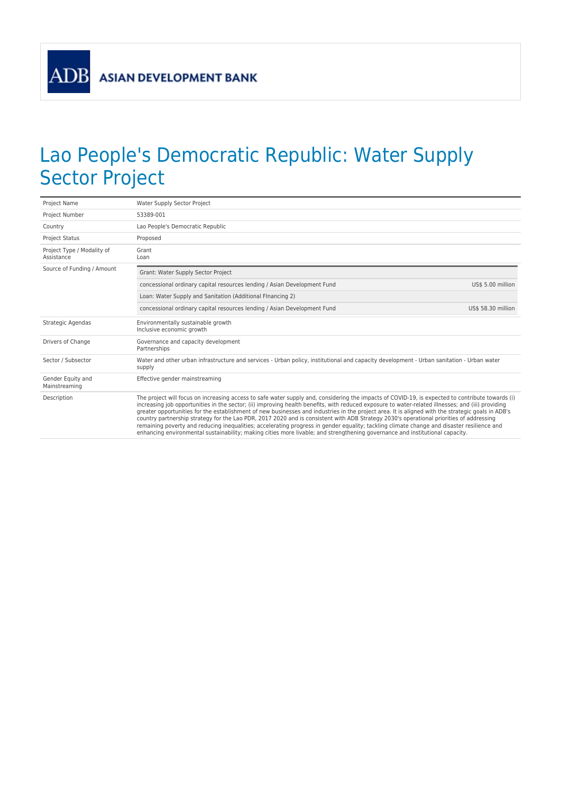**ADB** 

## Lao People's Democratic Republic: Water Supply Sector Project

| Project Name                             | Water Supply Sector Project                                                                                                                                                                                                                                                                                                                                                                                                                                                                                                                                                                                                                                                                                                                                                                                                                                                         |  |
|------------------------------------------|-------------------------------------------------------------------------------------------------------------------------------------------------------------------------------------------------------------------------------------------------------------------------------------------------------------------------------------------------------------------------------------------------------------------------------------------------------------------------------------------------------------------------------------------------------------------------------------------------------------------------------------------------------------------------------------------------------------------------------------------------------------------------------------------------------------------------------------------------------------------------------------|--|
| Project Number                           | 53389-001                                                                                                                                                                                                                                                                                                                                                                                                                                                                                                                                                                                                                                                                                                                                                                                                                                                                           |  |
| Country                                  | Lao People's Democratic Republic                                                                                                                                                                                                                                                                                                                                                                                                                                                                                                                                                                                                                                                                                                                                                                                                                                                    |  |
| <b>Project Status</b>                    | Proposed                                                                                                                                                                                                                                                                                                                                                                                                                                                                                                                                                                                                                                                                                                                                                                                                                                                                            |  |
| Project Type / Modality of<br>Assistance | Grant<br>Loan                                                                                                                                                                                                                                                                                                                                                                                                                                                                                                                                                                                                                                                                                                                                                                                                                                                                       |  |
| Source of Funding / Amount               | Grant: Water Supply Sector Project                                                                                                                                                                                                                                                                                                                                                                                                                                                                                                                                                                                                                                                                                                                                                                                                                                                  |  |
|                                          | concessional ordinary capital resources lending / Asian Development Fund<br>US\$ 5.00 million                                                                                                                                                                                                                                                                                                                                                                                                                                                                                                                                                                                                                                                                                                                                                                                       |  |
|                                          | Loan: Water Supply and Sanitation (Additional Financing 2)                                                                                                                                                                                                                                                                                                                                                                                                                                                                                                                                                                                                                                                                                                                                                                                                                          |  |
|                                          | concessional ordinary capital resources lending / Asian Development Fund<br>US\$ 58.30 million                                                                                                                                                                                                                                                                                                                                                                                                                                                                                                                                                                                                                                                                                                                                                                                      |  |
| Strategic Agendas                        | Environmentally sustainable growth<br>Inclusive economic growth                                                                                                                                                                                                                                                                                                                                                                                                                                                                                                                                                                                                                                                                                                                                                                                                                     |  |
| Drivers of Change                        | Governance and capacity development<br>Partnerships                                                                                                                                                                                                                                                                                                                                                                                                                                                                                                                                                                                                                                                                                                                                                                                                                                 |  |
| Sector / Subsector                       | Water and other urban infrastructure and services - Urban policy, institutional and capacity development - Urban sanitation - Urban water<br>supply                                                                                                                                                                                                                                                                                                                                                                                                                                                                                                                                                                                                                                                                                                                                 |  |
| Gender Equity and<br>Mainstreaming       | Effective gender mainstreaming                                                                                                                                                                                                                                                                                                                                                                                                                                                                                                                                                                                                                                                                                                                                                                                                                                                      |  |
| Description                              | The project will focus on increasing access to safe water supply and, considering the impacts of COVID-19, is expected to contribute towards (i)<br>increasing job opportunities in the sector; (ii) improving health benefits, with reduced exposure to water-related illnesses; and (iii) providing<br>greater opportunities for the establishment of new businesses and industries in the project area. It is aligned with the strategic goals in ADB's<br>country partnership strategy for the Lao PDR, 2017 2020 and is consistent with ADB Strategy 2030's operational priorities of addressing<br>remaining poverty and reducing inequalities; accelerating progress in gender equality; tackling climate change and disaster resilience and<br>enhancing environmental sustainability; making cities more livable; and strengthening governance and institutional capacity. |  |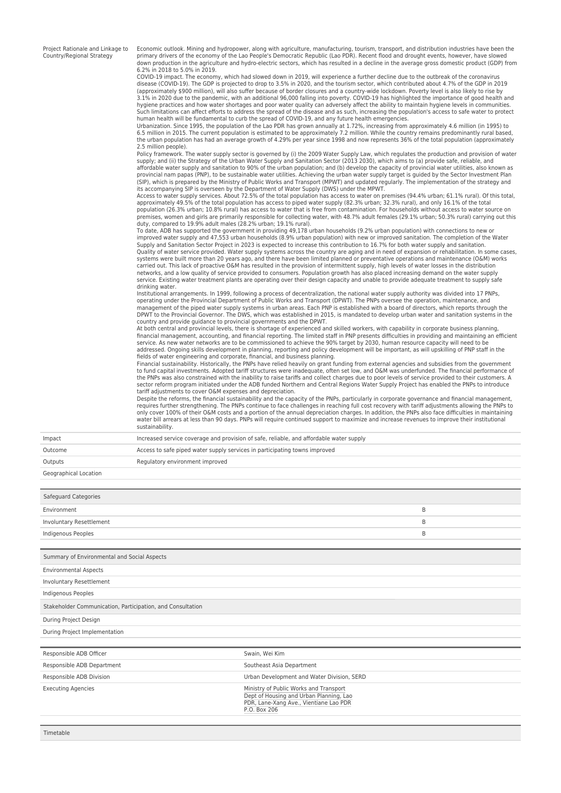Project Rationale and Linkage to Country/Regional Strategy

Economic outlook. Mining and hydropower, along with agriculture, manufacturing, tourism, transport, and distribution industries have been the primary drivers of the economy of the Lao People's Democratic Republic (Lao PDR). Recent flood and drought events, however, have slowed down production in the agriculture and hydro-electric sectors, which has resulted in a decline in the average gross domestic product (GDP) from 6.2% in 2018 to 5.0% in 2019.

COVID-19 impact. The economy, which had slowed down in 2019, will experience a further decline due to the outbreak of the coronavirus disease (COVID-19). The GDP is projected to drop to 3.5% in 2020, and the tourism sector, which contributed about 4.7% of the GDP in 2019 (approximately \$900 million), will also suffer because of border closures and a country-wide lockdown. Poverty level is also likely to rise by 3.1% in 2020 due to the pandemic, with an additional 96,000 falling into poverty. COVID-19 has highlighted the importance of good health and hygiene practices and how water shortages and poor water quality can adversely affect the ability to maintain hygiene levels in communities. Such limitations can affect efforts to address the spread of the disease and as such, increasing the population's access to safe water to protect<br>human health will be fundamental to curb the spread of COVID-19, and any fut

Urbanization. Since 1995, the population of the Lao PDR has grown annually at 1.72%, increasing from approximately 4.6 million (in 1995) to<br>6.5 million in 2015. The current population is estimated to be approximately 7.2 m the urban population has had an average growth of 4.29% per year since 1998 and now represents 36% of the total population (approximately

2.5 million people). Policy framework. The water supply sector is governed by (i) the 2009 Water Supply Law, which regulates the production and provision of water supply; and (ii) the Strategy of the Urban Water Supply and Sanitation Sector (2013 2030), which aims to (a) provide safe, reliable, and affordable water supply and sanitation to 90% of the urban population; and (b) develop the capacity of provincial water utilities, also known as<br>provincial nam papas (PNP), to be sustainable water utilities. Achieving the (SIP), which is prepared by the Ministry of Public Works and Transport (MPWT) and updated regularly. The implementation of the strategy and<br>its accompanying SIP is overseen by the Department of Water Supply (DWS) under the

Access to water supply services. About 72.5% of the total population has access to water on premises (94.4% urban; 61.1% rural). Of this total, approximately 49.5% of the total population has access to piped water supply (82.3% urban; 32.3% rural), and only 16.1% of the total<br>population (26.3% urban; 10.8% rural) has access to water that is free from contamination premises, women and girls are primarily responsible for collecting water, with 48.7% adult females (29.1% urban; 50.3% rural) carrying out this duty, compared to 19.9% adult males (28.2% urban; 19.1% rural).

To date, ADB has supported the government in providing 49,178 urban households (9.2% urban population) with connections to new or improved water supply and 47,553 urban households (8.9% urban population) with new or improved sanitation. The completion of the Water Supply and Sanitation Sector Project in 2023 is expected to increase this contribution to 16.7% for both water supply and sanitation. Quality of water service provided. Water supply systems across the country are aging and in need of expansion or rehabilitation. In some cases, systems were built more than 20 years ago, and there have been limited planned or preventative operations and maintenance (O&M) works<br>carried out. This lack of proactive O&M has resulted in the provision of intermittent su service. Existing water treatment plants are operating over their design capacity and unable to provide adequate treatment to supply safe drinking water.

Institutional arrangements. In 1999, following a process of decentralization, the national water supply authority was divided into 17 PNPs, operating under the Provincial Department of Public Works and Transport (DPWT). The PNPs oversee the operation, maintenance, and management of the piped water supply systems in urban areas. Each PNP is established with a board of directors, which reports through the DPWT to the Provincial Governor. The DWS, which was established in 2015, is mandated to develop urban water and sanitation systems in the country and provide guidance to provincial governments and the DPWT.

At both central and provincial levels, there is shortage of experienced and skilled workers, with capability in corporate business planning,<br>financial management, accounting, and financial reporting. The limited staff in P service. As new water networks are to be commissioned to achieve the 90% target by 2030, human resource capacity will need to be addressed. Ongoing skills development in planning, reporting and policy development will be important, as will upskilling of PNP staff in the fields of water engineering and corporate, financial, and business planning.

Financial sustainability. Historically, the PNPs have relied heavily on grant funding from external agencies and subsidies from the government<br>to fund capital investments. Adopted tariff structures were inadequate, often s the PNPs was also constrained with the inability to raise tariffs and collect charges due to poor levels of service provided to their customers. A sector reform program initiated under the ADB funded Northern and Central Regions Water Supply Project has enabled the PNPs to introduce tariff adjustments to cover O&M expenses and depreciation.

Despite the reforms, the financial sustainability and the capacity of the PNPs, particularly in corporate governance and financial management, requires further strengthening. The PNPs continue to face challenges in reaching full cost recovery with tariff adjustments allowing the PNPs to<br>only cover 100% of their O&M costs and a portion of the annual depreciation c water bill arrears at less than 90 days. PNPs will require continued support to maximize and increase revenues to improve their institutional sustainability.

| And a comparability of the complete of |                                                                                         |
|----------------------------------------|-----------------------------------------------------------------------------------------|
| Outputs                                | Regulatory environment improved                                                         |
| Outcome                                | Access to safe piped water supply services in participating towns improved              |
| Impact                                 | Increased service coverage and provision of safe, reliable, and affordable water supply |
|                                        |                                                                                         |

Geographical Location

| Safeguard Categories                                                                                                                        |   |  |  |  |  |
|---------------------------------------------------------------------------------------------------------------------------------------------|---|--|--|--|--|
|                                                                                                                                             | B |  |  |  |  |
|                                                                                                                                             | B |  |  |  |  |
| Indigenous Peoples                                                                                                                          |   |  |  |  |  |
|                                                                                                                                             |   |  |  |  |  |
| Summary of Environmental and Social Aspects                                                                                                 |   |  |  |  |  |
|                                                                                                                                             |   |  |  |  |  |
|                                                                                                                                             |   |  |  |  |  |
|                                                                                                                                             |   |  |  |  |  |
| Stakeholder Communication, Participation, and Consultation                                                                                  |   |  |  |  |  |
| During Project Design                                                                                                                       |   |  |  |  |  |
| During Project Implementation                                                                                                               |   |  |  |  |  |
|                                                                                                                                             |   |  |  |  |  |
| Swain, Wei Kim                                                                                                                              |   |  |  |  |  |
| Southeast Asia Department                                                                                                                   |   |  |  |  |  |
| Urban Development and Water Division, SERD                                                                                                  |   |  |  |  |  |
| Ministry of Public Works and Transport<br>Dept of Housing and Urban Planning, Lao<br>PDR, Lane-Xang Ave., Vientiane Lao PDR<br>P.O. Box 206 |   |  |  |  |  |
|                                                                                                                                             |   |  |  |  |  |